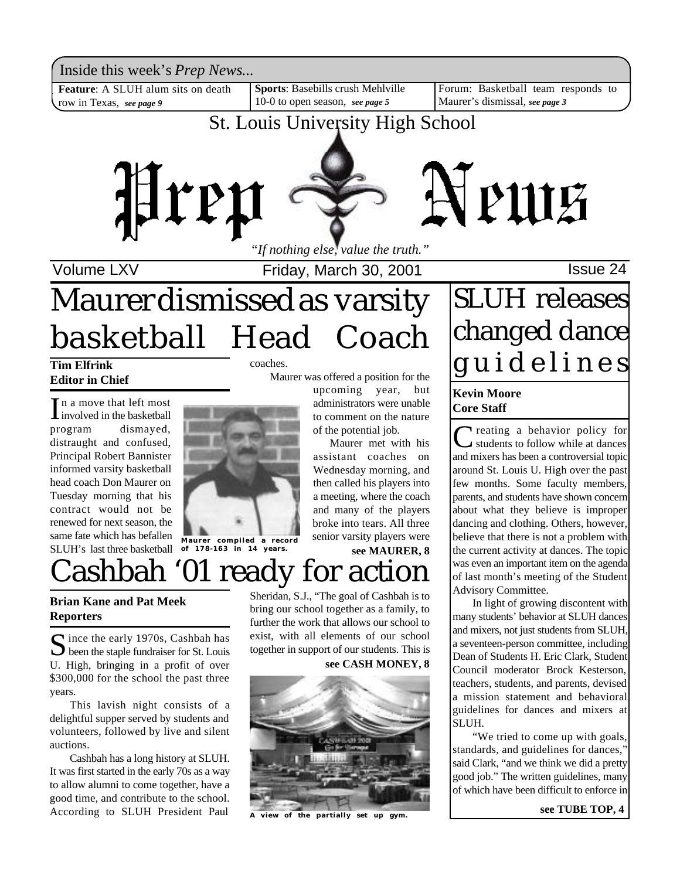Inside this week's *Prep News*...<br> **Feature**: A SLUH alum sits on death Sports: Basebills crush Mehlville [Forum: Basketball team responds to Inside this week's *Prep News*...

row in Texas, *see page 9*

**Sports**: Basebills crush Mehlville 10-0 to open season, *see page 5*

Forum: Basketball team responds to Maurer's dismissal, *see page 3*

### St. Louis University High School



Volume LXV **Internal Control Control**s Friday, March 30, 2001 **ISSUE 24** 

Maurer was offered a position for the

upcoming year, but administrators were unable to comment on the nature of the potential job.

Maurer met with his assistant coaches on Wednesday morning, and then called his players into a meeting, where the coach and many of the players broke into tears. All three

## Maurer dismissed as varsity basketball Head Coach

coaches.

### **Tim Elfrink Editor in Chief**

 $\prod$ n a move that left most<br>involved in the basketball involved in the basketball program dismayed, distraught and confused, Principal Robert Bannister informed varsity basketball head coach Don Maurer on Tuesday morning that his contract would not be renewed for next season, the same fate which has befallen SLUH's last three basketball



## Cashbah '01 ready for action

#### **Brian Kane and Pat Meek Reporters**

Since the early 1970s, Cashbah has<br>been the staple fundraiser for St. Louis  $\sum$  ince the early 1970s, Cashbah has U. High, bringing in a profit of over \$300,000 for the school the past three years.

This lavish night consists of a delightful supper served by students and volunteers, followed by live and silent auctions.

Cashbah has a long history at SLUH. It was first started in the early 70s as a way to allow alumni to come together, have a good time, and contribute to the school. According to SLUH President Paul

Sheridan, S.J., "The goal of Cashbah is to bring our school together as a family, to further the work that allows our school to exist, with all elements of our school together in support of our students. This is

#### **see CASH MONEY, 8**

**see MAURER, 8**



view of the partially set up gym.

## SLUH releases changed dance g u i d e l i n e s

#### **Kevin Moore Core Staff**

C reating a behavior policy for<br>students to follow while at dances<br>and mixers has been a controversial topic **T** reating a behavior policy for students to follow while at dances around St. Louis U. High over the past few months. Some faculty members, parents, and students have shown concern about what they believe is improper dancing and clothing. Others, however, believe that there is not a problem with the current activity at dances. The topic was even an important item on the agenda of last month's meeting of the Student Advisory Committee.

In light of growing discontent with many students' behavior at SLUH dances and mixers, not just students from SLUH, a seventeen-person committee, including Dean of Students H. Eric Clark, Student Council moderator Brock Kesterson, teachers, students, and parents, devised a mission statement and behavioral guidelines for dances and mixers at SLUH.

"We tried to come up with goals, standards, and guidelines for dances,' said Clark, "and we think we did a pretty good job." The written guidelines, many of which have been difficult to enforce in

**see TUBE TOP, 4**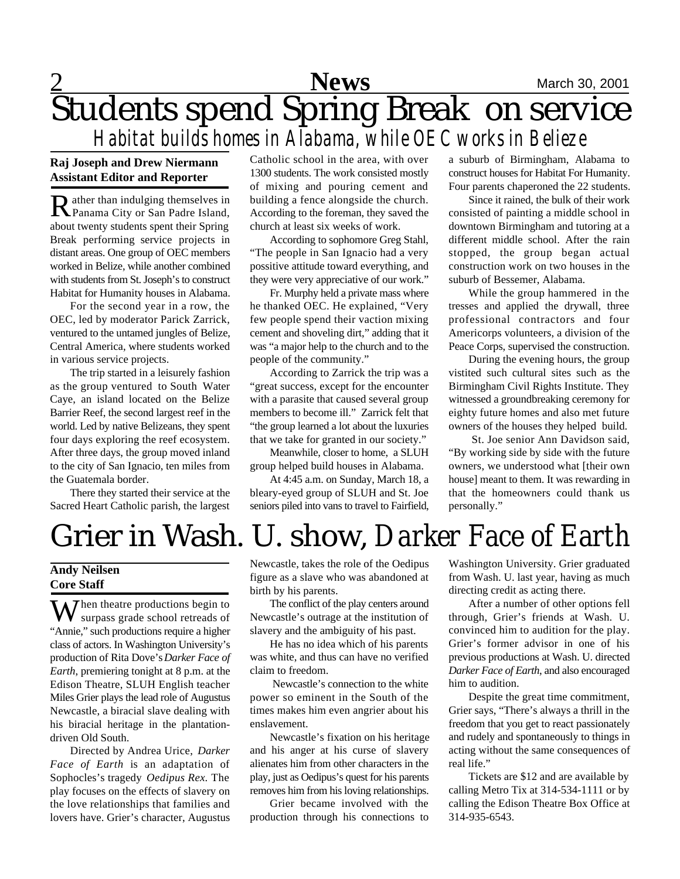## **2** Mews March 30, 2001 Students spend Spring Break on service *Habitat builds homes in Alabama, while OEC works in Belieze*

#### **Raj Joseph and Drew Niermann Assistant Editor and Reporter**

Rather than indulging themselves in Panama City or San Padre Island, about twenty students spent their Spring Break performing service projects in distant areas. One group of OEC members worked in Belize, while another combined with students from St. Joseph's to construct Habitat for Humanity houses in Alabama.

For the second year in a row, the OEC, led by moderator Parick Zarrick, ventured to the untamed jungles of Belize, Central America, where students worked in various service projects.

The trip started in a leisurely fashion as the group ventured to South Water Caye, an island located on the Belize Barrier Reef, the second largest reef in the world. Led by native Belizeans, they spent four days exploring the reef ecosystem. After three days, the group moved inland to the city of San Ignacio, ten miles from the Guatemala border.

There they started their service at the Sacred Heart Catholic parish, the largest

Catholic school in the area, with over 1300 students. The work consisted mostly of mixing and pouring cement and building a fence alongside the church. According to the foreman, they saved the church at least six weeks of work.

According to sophomore Greg Stahl, "The people in San Ignacio had a very possitive attitude toward everything, and they were very appreciative of our work."

Fr. Murphy held a private mass where he thanked OEC. He explained, "Very few people spend their vaction mixing cement and shoveling dirt," adding that it was "a major help to the church and to the people of the community."

According to Zarrick the trip was a "great success, except for the encounter with a parasite that caused several group members to become ill." Zarrick felt that "the group learned a lot about the luxuries that we take for granted in our society."

Meanwhile, closer to home, a SLUH group helped build houses in Alabama.

At 4:45 a.m. on Sunday, March 18, a bleary-eyed group of SLUH and St. Joe seniors piled into vans to travel to Fairfield, a suburb of Birmingham, Alabama to construct houses for Habitat For Humanity. Four parents chaperoned the 22 students.

Since it rained, the bulk of their work consisted of painting a middle school in downtown Birmingham and tutoring at a different middle school. After the rain stopped, the group began actual construction work on two houses in the suburb of Bessemer, Alabama.

While the group hammered in the tresses and applied the drywall, three professional contractors and four Americorps volunteers, a division of the Peace Corps, supervised the construction.

During the evening hours, the group vistited such cultural sites such as the Birmingham Civil Rights Institute. They witnessed a groundbreaking ceremony for eighty future homes and also met future owners of the houses they helped build.

 St. Joe senior Ann Davidson said, "By working side by side with the future owners, we understood what [their own house] meant to them. It was rewarding in that the homeowners could thank us personally."

## Grier in Wash. U. show, *Darker Face of Earth*

#### **Andy Neilsen Core Staff**

When theatre productions begin to surpass grade school retreads of "Annie," such productions require a higher class of actors. In Washington University's production of Rita Dove's *Darker Face of Earth*, premiering tonight at 8 p.m. at the Edison Theatre, SLUH English teacher Miles Grier plays the lead role of Augustus Newcastle, a biracial slave dealing with his biracial heritage in the plantationdriven Old South.

Directed by Andrea Urice, *Darker Face of Earth* is an adaptation of Sophocles's tragedy *Oedipus Rex*. The play focuses on the effects of slavery on the love relationships that families and lovers have. Grier's character, Augustus

Newcastle, takes the role of the Oedipus figure as a slave who was abandoned at birth by his parents.

The conflict of the play centers around Newcastle's outrage at the institution of slavery and the ambiguity of his past.

He has no idea which of his parents was white, and thus can have no verified claim to freedom.

 Newcastle's connection to the white power so eminent in the South of the times makes him even angrier about his enslavement.

Newcastle's fixation on his heritage and his anger at his curse of slavery alienates him from other characters in the play, just as Oedipus's quest for his parents removes him from his loving relationships.

Grier became involved with the production through his connections to Washington University. Grier graduated from Wash. U. last year, having as much directing credit as acting there.

After a number of other options fell through, Grier's friends at Wash. U. convinced him to audition for the play. Grier's former advisor in one of his previous productions at Wash. U. directed *Darker Face of Earth*, and also encouraged him to audition.

Despite the great time commitment, Grier says, "There's always a thrill in the freedom that you get to react passionately and rudely and spontaneously to things in acting without the same consequences of real life."

Tickets are \$12 and are available by calling Metro Tix at 314-534-1111 or by calling the Edison Theatre Box Office at 314-935-6543.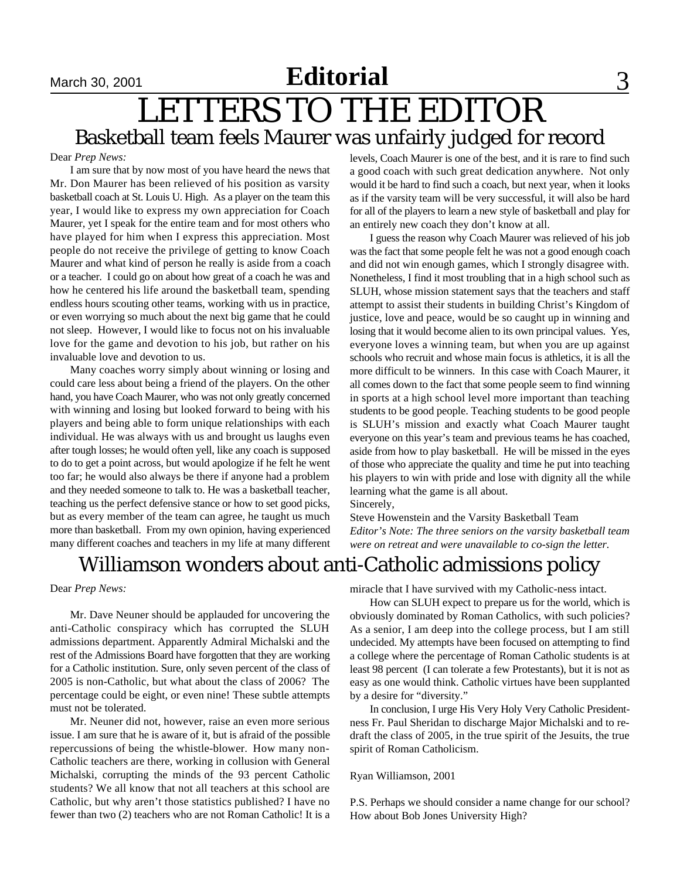## **Editorial** September 15, 2001 September 23, 2001 September 32, 2001 September 33

## LETTERS TO THE EDITOR Basketball team feels Maurer was unfairly judged for record

#### Dear *Prep News:*

I am sure that by now most of you have heard the news that Mr. Don Maurer has been relieved of his position as varsity basketball coach at St. Louis U. High. As a player on the team this year, I would like to express my own appreciation for Coach Maurer, yet I speak for the entire team and for most others who have played for him when I express this appreciation. Most people do not receive the privilege of getting to know Coach Maurer and what kind of person he really is aside from a coach or a teacher. I could go on about how great of a coach he was and how he centered his life around the basketball team, spending endless hours scouting other teams, working with us in practice, or even worrying so much about the next big game that he could not sleep. However, I would like to focus not on his invaluable love for the game and devotion to his job, but rather on his invaluable love and devotion to us.

Many coaches worry simply about winning or losing and could care less about being a friend of the players. On the other hand, you have Coach Maurer, who was not only greatly concerned with winning and losing but looked forward to being with his players and being able to form unique relationships with each individual. He was always with us and brought us laughs even after tough losses; he would often yell, like any coach is supposed to do to get a point across, but would apologize if he felt he went too far; he would also always be there if anyone had a problem and they needed someone to talk to. He was a basketball teacher, teaching us the perfect defensive stance or how to set good picks, but as every member of the team can agree, he taught us much more than basketball. From my own opinion, having experienced many different coaches and teachers in my life at many different

levels, Coach Maurer is one of the best, and it is rare to find such a good coach with such great dedication anywhere. Not only would it be hard to find such a coach, but next year, when it looks as if the varsity team will be very successful, it will also be hard for all of the players to learn a new style of basketball and play for an entirely new coach they don't know at all.

I guess the reason why Coach Maurer was relieved of his job was the fact that some people felt he was not a good enough coach and did not win enough games, which I strongly disagree with. Nonetheless, I find it most troubling that in a high school such as SLUH, whose mission statement says that the teachers and staff attempt to assist their students in building Christ's Kingdom of justice, love and peace, would be so caught up in winning and losing that it would become alien to its own principal values. Yes, everyone loves a winning team, but when you are up against schools who recruit and whose main focus is athletics, it is all the more difficult to be winners. In this case with Coach Maurer, it all comes down to the fact that some people seem to find winning in sports at a high school level more important than teaching students to be good people. Teaching students to be good people is SLUH's mission and exactly what Coach Maurer taught everyone on this year's team and previous teams he has coached, aside from how to play basketball. He will be missed in the eyes of those who appreciate the quality and time he put into teaching his players to win with pride and lose with dignity all the while learning what the game is all about. Sincerely,

Steve Howenstein and the Varsity Basketball Team *Editor's Note: The three seniors on the varsity basketball team were on retreat and were unavailable to co-sign the letter.*

### Williamson wonders about anti-Catholic admissions policy

#### Dear *Prep News:*

Mr. Dave Neuner should be applauded for uncovering the anti-Catholic conspiracy which has corrupted the SLUH admissions department. Apparently Admiral Michalski and the rest of the Admissions Board have forgotten that they are working for a Catholic institution. Sure, only seven percent of the class of 2005 is non-Catholic, but what about the class of 2006? The percentage could be eight, or even nine! These subtle attempts must not be tolerated.

Mr. Neuner did not, however, raise an even more serious issue. I am sure that he is aware of it, but is afraid of the possible repercussions of being the whistle-blower. How many non-Catholic teachers are there, working in collusion with General Michalski, corrupting the minds of the 93 percent Catholic students? We all know that not all teachers at this school are Catholic, but why aren't those statistics published? I have no fewer than two (2) teachers who are not Roman Catholic! It is a

miracle that I have survived with my Catholic-ness intact.

How can SLUH expect to prepare us for the world, which is obviously dominated by Roman Catholics, with such policies? As a senior, I am deep into the college process, but I am still undecided. My attempts have been focused on attempting to find a college where the percentage of Roman Catholic students is at least 98 percent (I can tolerate a few Protestants), but it is not as easy as one would think. Catholic virtues have been supplanted by a desire for "diversity."

In conclusion, I urge His Very Holy Very Catholic Presidentness Fr. Paul Sheridan to discharge Major Michalski and to redraft the class of 2005, in the true spirit of the Jesuits, the true spirit of Roman Catholicism.

#### Ryan Williamson, 2001

P.S. Perhaps we should consider a name change for our school? How about Bob Jones University High?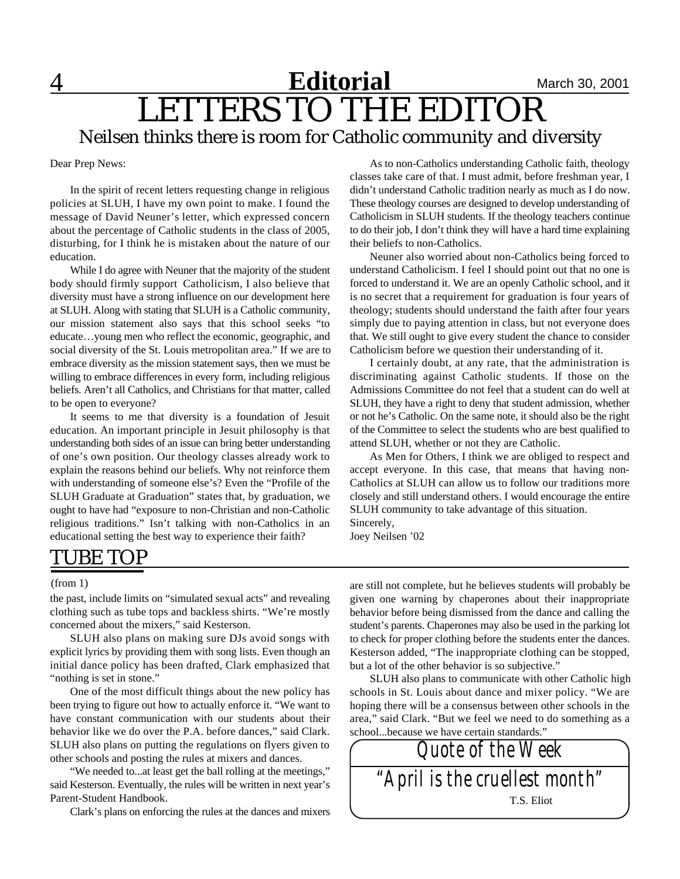### **4 New Reditorial** March 30, 2001 LETTERS TO THE EDITOR Neilsen thinks there is room for Catholic community and diversity **Editorial**

Dear Prep News:

In the spirit of recent letters requesting change in religious policies at SLUH, I have my own point to make. I found the message of David Neuner's letter, which expressed concern about the percentage of Catholic students in the class of 2005, disturbing, for I think he is mistaken about the nature of our education.

While I do agree with Neuner that the majority of the student body should firmly support Catholicism, I also believe that diversity must have a strong influence on our development here at SLUH. Along with stating that SLUH is a Catholic community, our mission statement also says that this school seeks "to educate…young men who reflect the economic, geographic, and social diversity of the St. Louis metropolitan area." If we are to embrace diversity as the mission statement says, then we must be willing to embrace differences in every form, including religious beliefs. Aren't all Catholics, and Christians for that matter, called to be open to everyone?

It seems to me that diversity is a foundation of Jesuit education. An important principle in Jesuit philosophy is that understanding both sides of an issue can bring better understanding of one's own position. Our theology classes already work to explain the reasons behind our beliefs. Why not reinforce them with understanding of someone else's? Even the "Profile of the SLUH Graduate at Graduation" states that, by graduation, we ought to have had "exposure to non-Christian and non-Catholic religious traditions." Isn't talking with non-Catholics in an educational setting the best way to experience their faith?

As to non-Catholics understanding Catholic faith, theology classes take care of that. I must admit, before freshman year, I didn't understand Catholic tradition nearly as much as I do now. These theology courses are designed to develop understanding of Catholicism in SLUH students. If the theology teachers continue to do their job, I don't think they will have a hard time explaining their beliefs to non-Catholics.

Neuner also worried about non-Catholics being forced to understand Catholicism. I feel I should point out that no one is forced to understand it. We are an openly Catholic school, and it is no secret that a requirement for graduation is four years of theology; students should understand the faith after four years simply due to paying attention in class, but not everyone does that. We still ought to give every student the chance to consider Catholicism before we question their understanding of it.

I certainly doubt, at any rate, that the administration is discriminating against Catholic students. If those on the Admissions Committee do not feel that a student can do well at SLUH, they have a right to deny that student admission, whether or not he's Catholic. On the same note, it should also be the right of the Committee to select the students who are best qualified to attend SLUH, whether or not they are Catholic.

As Men for Others, I think we are obliged to respect and accept everyone. In this case, that means that having non-Catholics at SLUH can allow us to follow our traditions more closely and still understand others. I would encourage the entire SLUH community to take advantage of this situation. Sincerely,

Joey Neilsen '02

### TUBE TOP

#### (from 1)

the past, include limits on "simulated sexual acts" and revealing clothing such as tube tops and backless shirts. "We're mostly concerned about the mixers," said Kesterson.

SLUH also plans on making sure DJs avoid songs with explicit lyrics by providing them with song lists. Even though an initial dance policy has been drafted, Clark emphasized that "nothing is set in stone."

One of the most difficult things about the new policy has been trying to figure out how to actually enforce it. "We want to have constant communication with our students about their behavior like we do over the P.A. before dances," said Clark. SLUH also plans on putting the regulations on flyers given to other schools and posting the rules at mixers and dances.

"We needed to...at least get the ball rolling at the meetings," said Kesterson. Eventually, the rules will be written in next year's Parent-Student Handbook.

Clark's plans on enforcing the rules at the dances and mixers

are still not complete, but he believes students will probably be given one warning by chaperones about their inappropriate behavior before being dismissed from the dance and calling the student's parents. Chaperones may also be used in the parking lot to check for proper clothing before the students enter the dances. Kesterson added, "The inappropriate clothing can be stopped, but a lot of the other behavior is so subjective."

SLUH also plans to communicate with other Catholic high schools in St. Louis about dance and mixer policy. "We are hoping there will be a consensus between other schools in the area," said Clark. "But we feel we need to do something as a school...because we have certain standards."

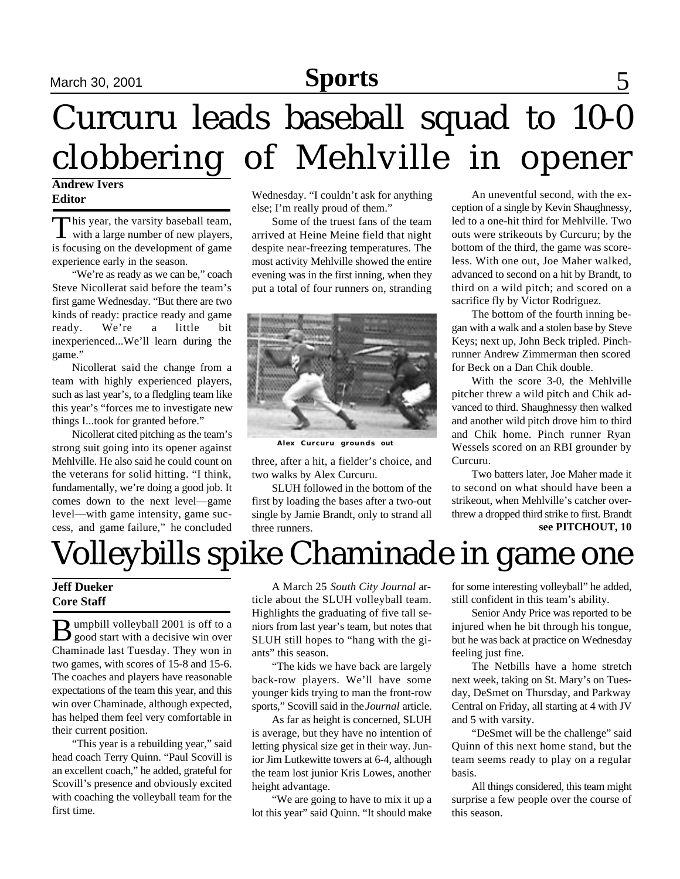### **Sports** 5, 2001 September 30, 2001 September 42, 2001 Sports 5 **Sports**

# Curcuru leads baseball squad to 10-0 clobbering of Mehlville in opener

#### **Andrew Ivers Editor**

This year, the varsity baseball team,<br>with a large number of new players, This year, the varsity baseball team, is focusing on the development of game experience early in the season.

"We're as ready as we can be," coach Steve Nicollerat said before the team's first game Wednesday. "But there are two kinds of ready: practice ready and game ready. We're a little bit inexperienced...We'll learn during the game."

Nicollerat said the change from a team with highly experienced players, such as last year's, to a fledgling team like this year's "forces me to investigate new things I...took for granted before."

Nicollerat cited pitching as the team's strong suit going into its opener against Mehlville. He also said he could count on the veterans for solid hitting. "I think, fundamentally, we're doing a good job. It comes down to the next level—game level—with game intensity, game success, and game failure," he concluded Wednesday. "I couldn't ask for anything else; I'm really proud of them."

Some of the truest fans of the team arrived at Heine Meine field that night despite near-freezing temperatures. The most activity Mehlville showed the entire evening was in the first inning, when they put a total of four runners on, stranding



**Alex Curcuru grounds out**

three, after a hit, a fielder's choice, and two walks by Alex Curcuru.

SLUH followed in the bottom of the first by loading the bases after a two-out single by Jamie Brandt, only to strand all three runners.

An uneventful second, with the exception of a single by Kevin Shaughnessy, led to a one-hit third for Mehlville. Two outs were strikeouts by Curcuru; by the bottom of the third, the game was scoreless. With one out, Joe Maher walked, advanced to second on a hit by Brandt, to third on a wild pitch; and scored on a sacrifice fly by Victor Rodriguez.

The bottom of the fourth inning began with a walk and a stolen base by Steve Keys; next up, John Beck tripled. Pinchrunner Andrew Zimmerman then scored for Beck on a Dan Chik double.

With the score 3-0, the Mehlville pitcher threw a wild pitch and Chik advanced to third. Shaughnessy then walked and another wild pitch drove him to third and Chik home. Pinch runner Ryan Wessels scored on an RBI grounder by Curcuru.

Two batters later, Joe Maher made it to second on what should have been a strikeout, when Mehlville's catcher overthrew a dropped third strike to first. Brandt **see PITCHOUT, 10**

## Volleybills spike Chaminade in game one

#### **Jeff Dueker Core Staff**

**B** umpbill volleyball 2001 is off to a good start with a decisive win over umpbill volleyball 2001 is off to a Chaminade last Tuesday. They won in two games, with scores of 15-8 and 15-6. The coaches and players have reasonable expectations of the team this year, and this win over Chaminade, although expected, has helped them feel very comfortable in their current position.

"This year is a rebuilding year," said head coach Terry Quinn. "Paul Scovill is an excellent coach," he added, grateful for Scovill's presence and obviously excited with coaching the volleyball team for the first time.

A March 25 *South City Journal* article about the SLUH volleyball team. Highlights the graduating of five tall seniors from last year's team, but notes that SLUH still hopes to "hang with the giants" this season.

"The kids we have back are largely back-row players. We'll have some younger kids trying to man the front-row sports," Scovill said in the *Journal* article.

As far as height is concerned, SLUH is average, but they have no intention of letting physical size get in their way. Junior Jim Lutkewitte towers at 6-4, although the team lost junior Kris Lowes, another height advantage.

"We are going to have to mix it up a lot this year" said Quinn. "It should make for some interesting volleyball" he added, still confident in this team's ability.

Senior Andy Price was reported to be injured when he bit through his tongue, but he was back at practice on Wednesday feeling just fine.

The Netbills have a home stretch next week, taking on St. Mary's on Tuesday, DeSmet on Thursday, and Parkway Central on Friday, all starting at 4 with JV and 5 with varsity.

"DeSmet will be the challenge" said Quinn of this next home stand, but the team seems ready to play on a regular basis.

All things considered, this team might surprise a few people over the course of this season.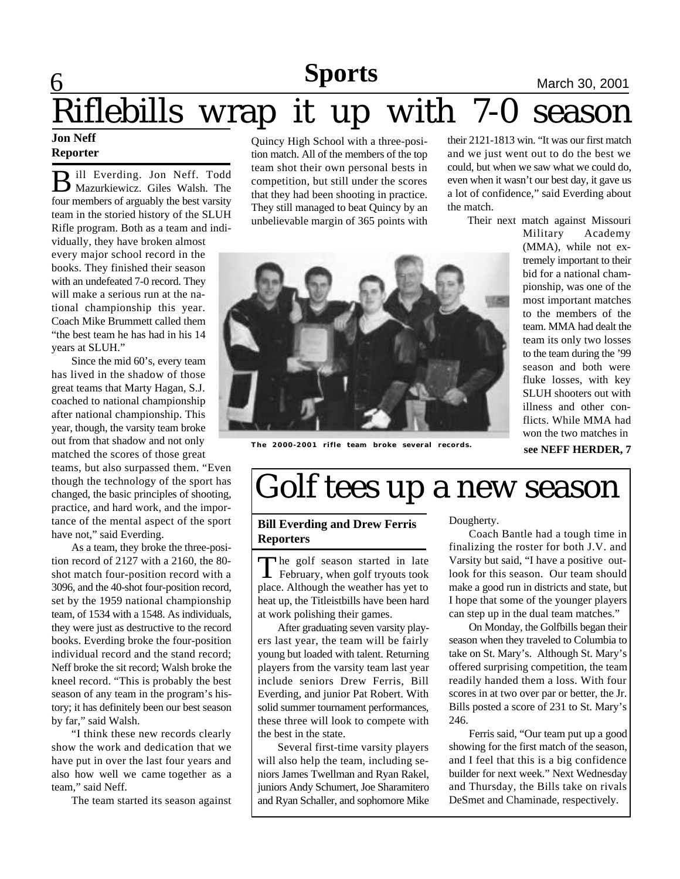### **6 News News March 30, 2001 Sports**

# <u>Riflebills w</u>rap it up with 7-0 season

#### **Jon Neff Reporter**

B ill Everding. Jon Neff. Todd ill Everding. Jon Neff. Todd four members of arguably the best varsity team in the storied history of the SLUH Rifle program. Both as a team and individually, they have broken almost every major school record in the books. They finished their season with an undefeated 7-0 record. They will make a serious run at the national championship this year. Coach Mike Brummett called them "the best team he has had in his 14 years at SLUH."

Since the mid 60's, every team has lived in the shadow of those great teams that Marty Hagan, S.J. coached to national championship after national championship. This year, though, the varsity team broke out from that shadow and not only matched the scores of those great

teams, but also surpassed them. "Even though the technology of the sport has changed, the basic principles of shooting, practice, and hard work, and the importance of the mental aspect of the sport have not," said Everding.

As a team, they broke the three-position record of 2127 with a 2160, the 80 shot match four-position record with a 3096, and the 40-shot four-position record, set by the 1959 national championship team, of 1534 with a 1548. As individuals, they were just as destructive to the record books. Everding broke the four-position individual record and the stand record; Neff broke the sit record; Walsh broke the kneel record. "This is probably the best season of any team in the program's history; it has definitely been our best season by far," said Walsh.

"I think these new records clearly show the work and dedication that we have put in over the last four years and also how well we came together as a team," said Neff.

The team started its season against

Quincy High School with a three-position match. All of the members of the top team shot their own personal bests in competition, but still under the scores that they had been shooting in practice. They still managed to beat Quincy by an unbelievable margin of 365 points with their 2121-1813 win. "It was our first match and we just went out to do the best we could, but when we saw what we could do, even when it wasn't our best day, it gave us a lot of confidence," said Everding about the match.

Their next match against Missouri



**The 2000-2001 rifle team broke several records.**

Military Academy (MMA), while not extremely important to their bid for a national championship, was one of the most important matches to the members of the team. MMA had dealt the team its only two losses to the team during the '99 season and both were fluke losses, with key SLUH shooters out with illness and other conflicts. While MMA had won the two matches in **see NEFF HERDER, 7**

## Golf tees up a new season

#### **Bill Everding and Drew Ferris Reporters**

The golf season started in late<br>February, when golf tryouts took  $\blacktriangle$  February, when golf tryouts took place. Although the weather has yet to heat up, the Titleistbills have been hard at work polishing their games.

After graduating seven varsity players last year, the team will be fairly young but loaded with talent. Returning players from the varsity team last year include seniors Drew Ferris, Bill Everding, and junior Pat Robert. With solid summer tournament performances, these three will look to compete with the best in the state.

Several first-time varsity players will also help the team, including seniors James Twellman and Ryan Rakel, juniors Andy Schumert, Joe Sharamitero and Ryan Schaller, and sophomore Mike Dougherty.

Coach Bantle had a tough time in finalizing the roster for both J.V. and Varsity but said, "I have a positive outlook for this season. Our team should make a good run in districts and state, but I hope that some of the younger players can step up in the dual team matches."

On Monday, the Golfbills began their season when they traveled to Columbia to take on St. Mary's. Although St. Mary's offered surprising competition, the team readily handed them a loss. With four scores in at two over par or better, the Jr. Bills posted a score of 231 to St. Mary's 246.

Ferris said, "Our team put up a good showing for the first match of the season, and I feel that this is a big confidence builder for next week." Next Wednesday and Thursday, the Bills take on rivals DeSmet and Chaminade, respectively.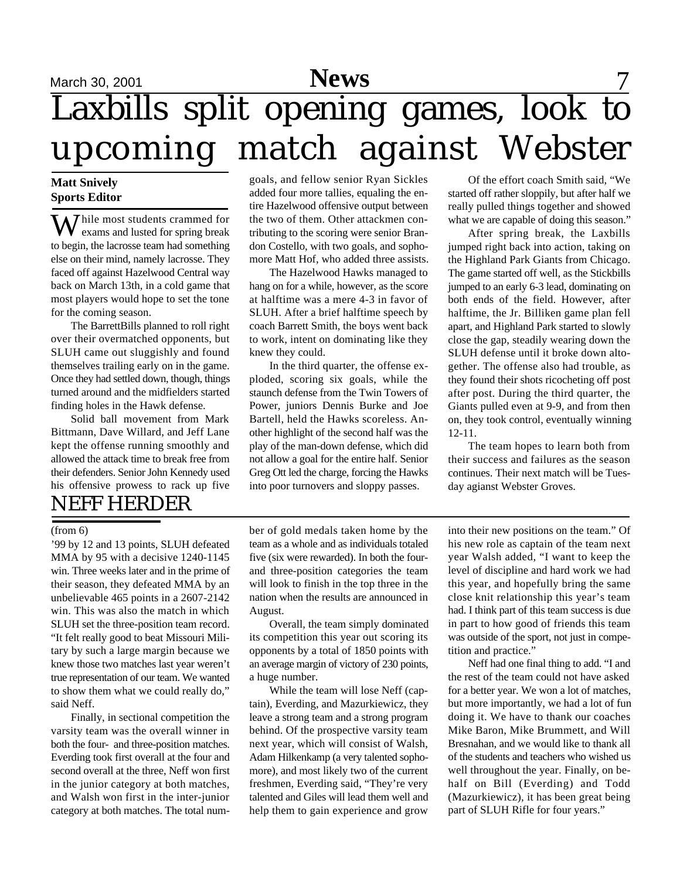## $S$ <br>March 30, 2001 **News** 7 Laxbills split opening games, look to upcoming match against Webster

#### **Matt Snively Sports Editor**

Thile most students crammed for exams and lusted for spring break to begin, the lacrosse team had something else on their mind, namely lacrosse. They faced off against Hazelwood Central way back on March 13th, in a cold game that most players would hope to set the tone for the coming season.

The BarrettBills planned to roll right over their overmatched opponents, but SLUH came out sluggishly and found themselves trailing early on in the game. Once they had settled down, though, things turned around and the midfielders started finding holes in the Hawk defense.

Solid ball movement from Mark Bittmann, Dave Willard, and Jeff Lane kept the offense running smoothly and allowed the attack time to break free from their defenders. Senior John Kennedy used his offensive prowess to rack up five

### NEFF HERDER

goals, and fellow senior Ryan Sickles added four more tallies, equaling the entire Hazelwood offensive output between the two of them. Other attackmen contributing to the scoring were senior Brandon Costello, with two goals, and sophomore Matt Hof, who added three assists.

The Hazelwood Hawks managed to hang on for a while, however, as the score at halftime was a mere 4-3 in favor of SLUH. After a brief halftime speech by coach Barrett Smith, the boys went back to work, intent on dominating like they knew they could.

In the third quarter, the offense exploded, scoring six goals, while the staunch defense from the Twin Towers of Power, juniors Dennis Burke and Joe Bartell, held the Hawks scoreless. Another highlight of the second half was the play of the man-down defense, which did not allow a goal for the entire half. Senior Greg Ott led the charge, forcing the Hawks into poor turnovers and sloppy passes.

Of the effort coach Smith said, "We started off rather sloppily, but after half we really pulled things together and showed what we are capable of doing this season."

After spring break, the Laxbills jumped right back into action, taking on the Highland Park Giants from Chicago. The game started off well, as the Stickbills jumped to an early 6-3 lead, dominating on both ends of the field. However, after halftime, the Jr. Billiken game plan fell apart, and Highland Park started to slowly close the gap, steadily wearing down the SLUH defense until it broke down altogether. The offense also had trouble, as they found their shots ricocheting off post after post. During the third quarter, the Giants pulled even at 9-9, and from then on, they took control, eventually winning 12-11.

The team hopes to learn both from their success and failures as the season continues. Their next match will be Tuesday agianst Webster Groves.

'99 by 12 and 13 points, SLUH defeated MMA by 95 with a decisive 1240-1145 win. Three weeks later and in the prime of their season, they defeated MMA by an unbelievable 465 points in a 2607-2142 win. This was also the match in which SLUH set the three-position team record. "It felt really good to beat Missouri Military by such a large margin because we knew those two matches last year weren't true representation of our team. We wanted to show them what we could really do," said Neff.

Finally, in sectional competition the varsity team was the overall winner in both the four- and three-position matches. Everding took first overall at the four and second overall at the three, Neff won first in the junior category at both matches, and Walsh won first in the inter-junior category at both matches. The total num-

ber of gold medals taken home by the team as a whole and as individuals totaled five (six were rewarded). In both the fourand three-position categories the team will look to finish in the top three in the nation when the results are announced in August. (from 6) being the set of gold medals taken home by the into their new positions on the team." Of

> Overall, the team simply dominated its competition this year out scoring its opponents by a total of 1850 points with an average margin of victory of 230 points, a huge number.

> While the team will lose Neff (captain), Everding, and Mazurkiewicz, they leave a strong team and a strong program behind. Of the prospective varsity team next year, which will consist of Walsh, Adam Hilkenkamp (a very talented sophomore), and most likely two of the current freshmen, Everding said, "They're very talented and Giles will lead them well and help them to gain experience and grow

his new role as captain of the team next year Walsh added, "I want to keep the level of discipline and hard work we had this year, and hopefully bring the same close knit relationship this year's team had. I think part of this team success is due in part to how good of friends this team was outside of the sport, not just in competition and practice."

Neff had one final thing to add. "I and the rest of the team could not have asked for a better year. We won a lot of matches, but more importantly, we had a lot of fun doing it. We have to thank our coaches Mike Baron, Mike Brummett, and Will Bresnahan, and we would like to thank all of the students and teachers who wished us well throughout the year. Finally, on behalf on Bill (Everding) and Todd (Mazurkiewicz), it has been great being part of SLUH Rifle for four years."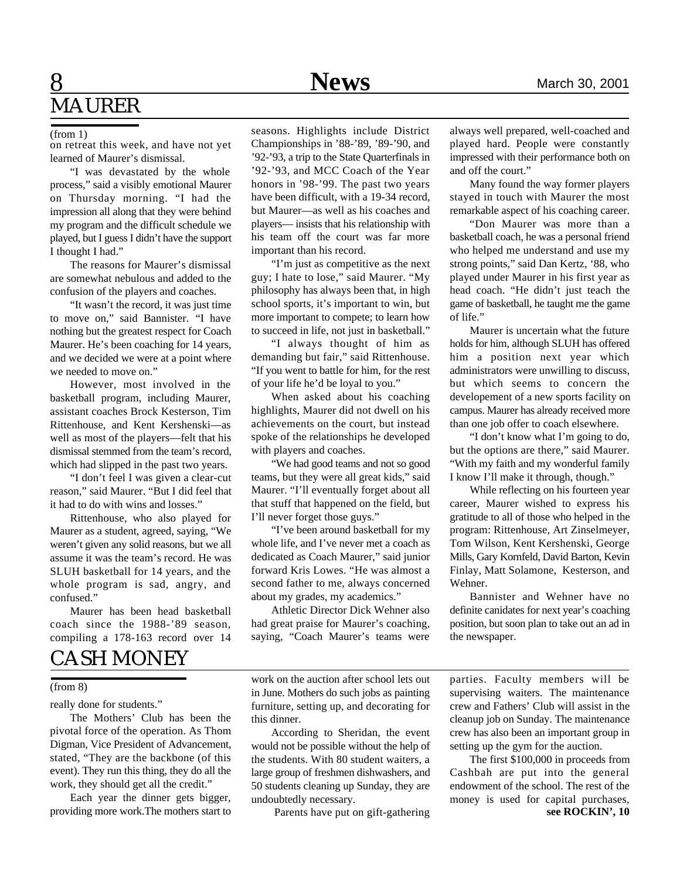### **8** Mews March 30, 2001 MAURER

#### (from 1)

on retreat this week, and have not yet learned of Maurer's dismissal.

"I was devastated by the whole process," said a visibly emotional Maurer on Thursday morning. "I had the impression all along that they were behind my program and the difficult schedule we played, but I guess I didn't have the support I thought I had."

The reasons for Maurer's dismissal are somewhat nebulous and added to the confusion of the players and coaches.

"It wasn't the record, it was just time to move on," said Bannister. "I have nothing but the greatest respect for Coach Maurer. He's been coaching for 14 years, and we decided we were at a point where we needed to move on."

However, most involved in the basketball program, including Maurer, assistant coaches Brock Kesterson, Tim Rittenhouse, and Kent Kershenski—as well as most of the players—felt that his dismissal stemmed from the team's record, which had slipped in the past two years.

"I don't feel I was given a clear-cut reason," said Maurer. "But I did feel that it had to do with wins and losses."

Rittenhouse, who also played for Maurer as a student, agreed, saying, "We weren't given any solid reasons, but we all assume it was the team's record. He was SLUH basketball for 14 years, and the whole program is sad, angry, and confused."

Maurer has been head basketball coach since the 1988-'89 season, compiling a 178-163 record over 14

### CASH MONEY

#### (from 8)

really done for students."

The Mothers' Club has been the pivotal force of the operation. As Thom Digman, Vice President of Advancement, stated, "They are the backbone (of this event). They run this thing, they do all the work, they should get all the credit."

Each year the dinner gets bigger, providing more work.The mothers start to

seasons. Highlights include District Championships in '88-'89, '89-'90, and '92-'93, a trip to the State Quarterfinals in '92-'93, and MCC Coach of the Year honors in '98-'99. The past two years have been difficult, with a 19-34 record, but Maurer—as well as his coaches and players— insists that his relationship with his team off the court was far more important than his record.

"I'm just as competitive as the next guy; I hate to lose," said Maurer. "My philosophy has always been that, in high school sports, it's important to win, but more important to compete; to learn how to succeed in life, not just in basketball."

"I always thought of him as demanding but fair," said Rittenhouse. "If you went to battle for him, for the rest of your life he'd be loyal to you."

When asked about his coaching highlights, Maurer did not dwell on his achievements on the court, but instead spoke of the relationships he developed with players and coaches.

"We had good teams and not so good teams, but they were all great kids," said Maurer. "I'll eventually forget about all that stuff that happened on the field, but I'll never forget those guys."

"I've been around basketball for my whole life, and I've never met a coach as dedicated as Coach Maurer," said junior forward Kris Lowes. "He was almost a second father to me, always concerned about my grades, my academics."

Athletic Director Dick Wehner also had great praise for Maurer's coaching, saying, "Coach Maurer's teams were

work on the auction after school lets out in June. Mothers do such jobs as painting furniture, setting up, and decorating for this dinner.

According to Sheridan, the event would not be possible without the help of the students. With 80 student waiters, a large group of freshmen dishwashers, and 50 students cleaning up Sunday, they are undoubtedly necessary.

Parents have put on gift-gathering

always well prepared, well-coached and played hard. People were constantly impressed with their performance both on and off the court."

Many found the way former players stayed in touch with Maurer the most remarkable aspect of his coaching career.

"Don Maurer was more than a basketball coach, he was a personal friend who helped me understand and use my strong points," said Dan Kertz, '88, who played under Maurer in his first year as head coach. "He didn't just teach the game of basketball, he taught me the game of life."

Maurer is uncertain what the future holds for him, although SLUH has offered him a position next year which administrators were unwilling to discuss, but which seems to concern the developement of a new sports facility on campus. Maurer has already received more than one job offer to coach elsewhere.

"I don't know what I'm going to do, but the options are there," said Maurer. "With my faith and my wonderful family I know I'll make it through, though."

While reflecting on his fourteen year career, Maurer wished to express his gratitude to all of those who helped in the program: Rittenhouse, Art Zinselmeyer, Tom Wilson, Kent Kershenski, George Mills, Gary Kornfeld, David Barton, Kevin Finlay, Matt Solamone, Kesterson, and Wehner.

Bannister and Wehner have no definite canidates for next year's coaching position, but soon plan to take out an ad in the newspaper.

parties. Faculty members will be supervising waiters. The maintenance crew and Fathers' Club will assist in the cleanup job on Sunday. The maintenance crew has also been an important group in setting up the gym for the auction.

The first \$100,000 in proceeds from Cashbah are put into the general endowment of the school. The rest of the money is used for capital purchases, **see ROCKIN', 10**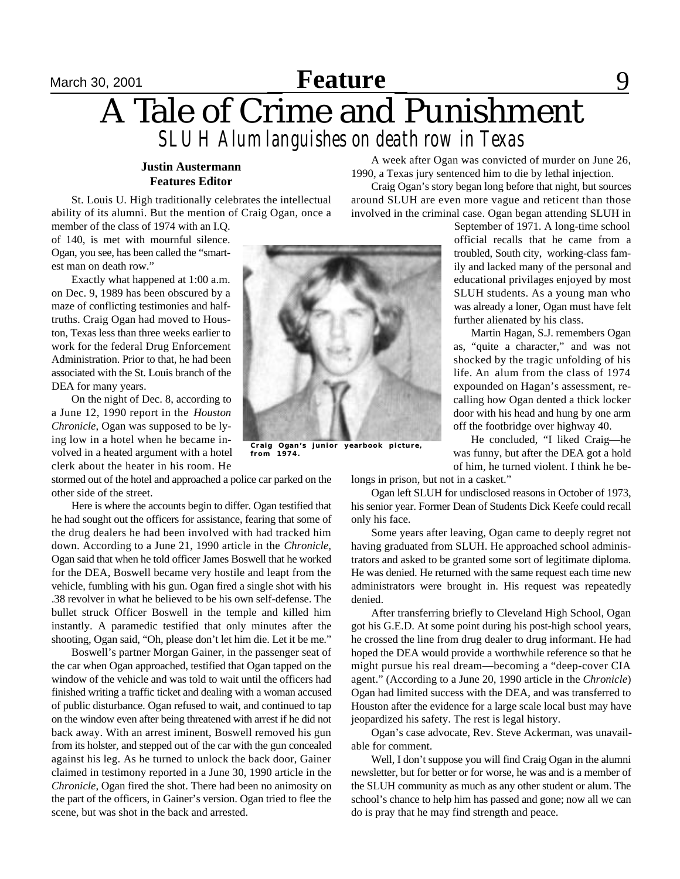## **September 15, 2001 Feature** 19, 2001 12, 2001 **Feature** 19, 2001 12, 2001 12, 2001 12, 2001 12, 2000 12, 2000 12, 2000 12, 2000 12, 2000 12, 2000 12, 2000 12, 2000 12, 2000 12, 2000 12, 2000 12, 2000 12, 2000 12, 2000 1 A Tale of Crime and Punishment *SLUH Alum languishes on death row in Texas*

#### **Justin Austermann Features Editor**

St. Louis U. High traditionally celebrates the intellectual ability of its alumni. But the mention of Craig Ogan, once a

member of the class of 1974 with an I.Q. of 140, is met with mournful silence. Ogan, you see, has been called the "smartest man on death row."

Exactly what happened at 1:00 a.m. on Dec. 9, 1989 has been obscured by a maze of conflicting testimonies and halftruths. Craig Ogan had moved to Houston, Texas less than three weeks earlier to work for the federal Drug Enforcement Administration. Prior to that, he had been associated with the St. Louis branch of the DEA for many years.

On the night of Dec. 8, according to a June 12, 1990 report in the *Houston Chronicle*, Ogan was supposed to be lying low in a hotel when he became involved in a heated argument with a hotel clerk about the heater in his room. He

stormed out of the hotel and approached a police car parked on the other side of the street.

Here is where the accounts begin to differ. Ogan testified that he had sought out the officers for assistance, fearing that some of the drug dealers he had been involved with had tracked him down. According to a June 21, 1990 article in the *Chronicle,* Ogan said that when he told officer James Boswell that he worked for the DEA, Boswell became very hostile and leapt from the vehicle, fumbling with his gun. Ogan fired a single shot with his .38 revolver in what he believed to be his own self-defense. The bullet struck Officer Boswell in the temple and killed him instantly. A paramedic testified that only minutes after the shooting, Ogan said, "Oh, please don't let him die. Let it be me."

Boswell's partner Morgan Gainer, in the passenger seat of the car when Ogan approached, testified that Ogan tapped on the window of the vehicle and was told to wait until the officers had finished writing a traffic ticket and dealing with a woman accused of public disturbance. Ogan refused to wait, and continued to tap on the window even after being threatened with arrest if he did not back away. With an arrest iminent, Boswell removed his gun from its holster, and stepped out of the car with the gun concealed against his leg. As he turned to unlock the back door, Gainer claimed in testimony reported in a June 30, 1990 article in the *Chronicle*, Ogan fired the shot. There had been no animosity on the part of the officers, in Gainer's version. Ogan tried to flee the scene, but was shot in the back and arrested.

**from 1974.**

A week after Ogan was convicted of murder on June 26, 1990, a Texas jury sentenced him to die by lethal injection.

Craig Ogan's story began long before that night, but sources around SLUH are even more vague and reticent than those involved in the criminal case. Ogan began attending SLUH in

> September of 1971. A long-time school official recalls that he came from a troubled, South city, working-class family and lacked many of the personal and educational privilages enjoyed by most SLUH students. As a young man who was already a loner, Ogan must have felt further alienated by his class.

> Martin Hagan, S.J. remembers Ogan as, "quite a character," and was not shocked by the tragic unfolding of his life. An alum from the class of 1974 expounded on Hagan's assessment, recalling how Ogan dented a thick locker door with his head and hung by one arm off the footbridge over highway 40.

> He concluded, "I liked Craig—he was funny, but after the DEA got a hold of him, he turned violent. I think he be-

longs in prison, but not in a casket."

Ogan left SLUH for undisclosed reasons in October of 1973, his senior year. Former Dean of Students Dick Keefe could recall only his face.

Some years after leaving, Ogan came to deeply regret not having graduated from SLUH. He approached school administrators and asked to be granted some sort of legitimate diploma. He was denied. He returned with the same request each time new administrators were brought in. His request was repeatedly denied.

After transferring briefly to Cleveland High School, Ogan got his G.E.D. At some point during his post-high school years, he crossed the line from drug dealer to drug informant. He had hoped the DEA would provide a worthwhile reference so that he might pursue his real dream—becoming a "deep-cover CIA agent." (According to a June 20, 1990 article in the *Chronicle*) Ogan had limited success with the DEA, and was transferred to Houston after the evidence for a large scale local bust may have jeopardized his safety. The rest is legal history.

Ogan's case advocate, Rev. Steve Ackerman, was unavailable for comment.

Well, I don't suppose you will find Craig Ogan in the alumni newsletter, but for better or for worse, he was and is a member of the SLUH community as much as any other student or alum. The school's chance to help him has passed and gone; now all we can do is pray that he may find strength and peace.

**Craig Ogan's junior yearbook picture,**